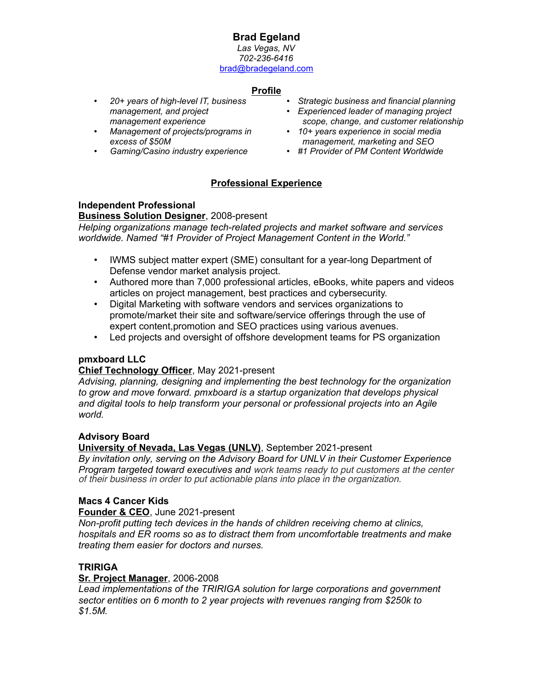# **Brad Egeland**

*Las Vegas, NV 702-236-6416* brad@bradegeland.com

## **Profile**

- *20+ years of high-level IT, business management, and project management experience*
- *Management of projects/programs in excess of \$50M*
- • *Gaming/Casino industry experience*
- *Strategic business and financial planning*
- *Experienced leader of managing project scope, change, and customer relationship*
- *10+ years experience in social media management, marketing and SEO*
- *#1 Provider of PM Content Worldwide*

## **Professional Experience**

## **Independent Professional**

#### **Business Solution Designer**, 2008-present

*Helping organizations manage tech-related projects and market software and services worldwide. Named "#1 Provider of Project Management Content in the World."*

- IWMS subject matter expert (SME) consultant for a year-long Department of Defense vendor market analysis project.
- Authored more than 7,000 professional articles, eBooks, white papers and videos articles on project management, best practices and cybersecurity.
- Digital Marketing with software vendors and services organizations to promote/market their site and software/service offerings through the use of expert content,promotion and SEO practices using various avenues.
- Led projects and oversight of offshore development teams for PS organization

## **pmxboard LLC**

## **Chief Technology Officer**, May 2021-present

*Advising, planning, designing and implementing the best technology for the organization* to grow and move forward. pmxboard is a startup organization that develops physical *and digital tools to help transform your personal or professional projects into an Agile world.*

## **Advisory Board**

## **University of Nevada, Las Vegas (UNLV)**, September 2021-present

*By invitation only, serving on the Advisory Board for UNLV in their Customer Experience Program targeted toward executives and work teams ready to put customers at the center of their business in order to put actionable plans into place in the organization.*

## **Macs 4 Cancer Kids**

**Founder & CEO**, June 2021-present

*Non-profit putting tech devices in the hands of children receiving chemo at clinics, hospitals and ER rooms so as to distract them from uncomfortable treatments and make treating them easier for doctors and nurses.*

## **TRIRIGA**

## **Sr. Project Manager**, 2006-2008

*Lead implementations of the TRIRIGA solution for large corporations and government sector entities on 6 month to 2 year projects with revenues ranging from \$250k to \$1.5M.*